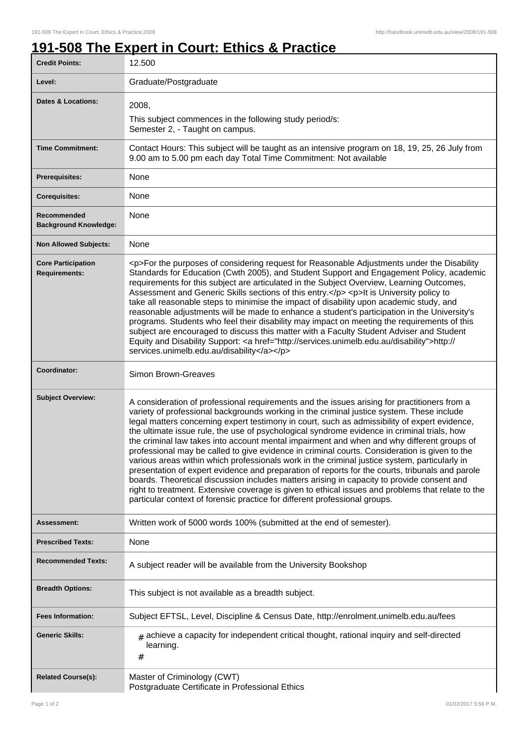## **191-508 The Expert in Court: Ethics & Practice**

| <b>Credit Points:</b>                             | 12.500                                                                                                                                                                                                                                                                                                                                                                                                                                                                                                                                                                                                                                                                                                                                                                                                                                                                                                                                                                                                                                                                        |
|---------------------------------------------------|-------------------------------------------------------------------------------------------------------------------------------------------------------------------------------------------------------------------------------------------------------------------------------------------------------------------------------------------------------------------------------------------------------------------------------------------------------------------------------------------------------------------------------------------------------------------------------------------------------------------------------------------------------------------------------------------------------------------------------------------------------------------------------------------------------------------------------------------------------------------------------------------------------------------------------------------------------------------------------------------------------------------------------------------------------------------------------|
| Level:                                            | Graduate/Postgraduate                                                                                                                                                                                                                                                                                                                                                                                                                                                                                                                                                                                                                                                                                                                                                                                                                                                                                                                                                                                                                                                         |
| <b>Dates &amp; Locations:</b>                     | 2008,<br>This subject commences in the following study period/s:<br>Semester 2, - Taught on campus.                                                                                                                                                                                                                                                                                                                                                                                                                                                                                                                                                                                                                                                                                                                                                                                                                                                                                                                                                                           |
| <b>Time Commitment:</b>                           | Contact Hours: This subject will be taught as an intensive program on 18, 19, 25, 26 July from<br>9.00 am to 5.00 pm each day Total Time Commitment: Not available                                                                                                                                                                                                                                                                                                                                                                                                                                                                                                                                                                                                                                                                                                                                                                                                                                                                                                            |
| <b>Prerequisites:</b>                             | None                                                                                                                                                                                                                                                                                                                                                                                                                                                                                                                                                                                                                                                                                                                                                                                                                                                                                                                                                                                                                                                                          |
| <b>Corequisites:</b>                              | None                                                                                                                                                                                                                                                                                                                                                                                                                                                                                                                                                                                                                                                                                                                                                                                                                                                                                                                                                                                                                                                                          |
| Recommended<br><b>Background Knowledge:</b>       | None                                                                                                                                                                                                                                                                                                                                                                                                                                                                                                                                                                                                                                                                                                                                                                                                                                                                                                                                                                                                                                                                          |
| <b>Non Allowed Subjects:</b>                      | None                                                                                                                                                                                                                                                                                                                                                                                                                                                                                                                                                                                                                                                                                                                                                                                                                                                                                                                                                                                                                                                                          |
| <b>Core Participation</b><br><b>Requirements:</b> | <p>For the purposes of considering request for Reasonable Adjustments under the Disability<br/>Standards for Education (Cwth 2005), and Student Support and Engagement Policy, academic<br/>requirements for this subject are articulated in the Subject Overview, Learning Outcomes,<br/>Assessment and Generic Skills sections of this entry.</p> <p>lt is University policy to<br/>take all reasonable steps to minimise the impact of disability upon academic study, and<br/>reasonable adjustments will be made to enhance a student's participation in the University's<br/>programs. Students who feel their disability may impact on meeting the requirements of this<br/>subject are encouraged to discuss this matter with a Faculty Student Adviser and Student<br/>Equity and Disability Support: &lt; a href="http://services.unimelb.edu.au/disability"&gt;http://<br/>services.unimelb.edu.au/disability</p>                                                                                                                                                  |
| Coordinator:                                      | Simon Brown-Greaves                                                                                                                                                                                                                                                                                                                                                                                                                                                                                                                                                                                                                                                                                                                                                                                                                                                                                                                                                                                                                                                           |
| <b>Subject Overview:</b>                          | A consideration of professional requirements and the issues arising for practitioners from a<br>variety of professional backgrounds working in the criminal justice system. These include<br>legal matters concerning expert testimony in court, such as admissibility of expert evidence,<br>the ultimate issue rule, the use of psychological syndrome evidence in criminal trials, how<br>the criminal law takes into account mental impairment and when and why different groups of<br>professional may be called to give evidence in criminal courts. Consideration is given to the<br>various areas within which professionals work in the criminal justice system, particularly in<br>presentation of expert evidence and preparation of reports for the courts, tribunals and parole<br>boards. Theoretical discussion includes matters arising in capacity to provide consent and<br>right to treatment. Extensive coverage is given to ethical issues and problems that relate to the<br>particular context of forensic practice for different professional groups. |
| <b>Assessment:</b>                                | Written work of 5000 words 100% (submitted at the end of semester).                                                                                                                                                                                                                                                                                                                                                                                                                                                                                                                                                                                                                                                                                                                                                                                                                                                                                                                                                                                                           |
| <b>Prescribed Texts:</b>                          | None                                                                                                                                                                                                                                                                                                                                                                                                                                                                                                                                                                                                                                                                                                                                                                                                                                                                                                                                                                                                                                                                          |
| <b>Recommended Texts:</b>                         | A subject reader will be available from the University Bookshop                                                                                                                                                                                                                                                                                                                                                                                                                                                                                                                                                                                                                                                                                                                                                                                                                                                                                                                                                                                                               |
| <b>Breadth Options:</b>                           | This subject is not available as a breadth subject.                                                                                                                                                                                                                                                                                                                                                                                                                                                                                                                                                                                                                                                                                                                                                                                                                                                                                                                                                                                                                           |
| <b>Fees Information:</b>                          | Subject EFTSL, Level, Discipline & Census Date, http://enrolment.unimelb.edu.au/fees                                                                                                                                                                                                                                                                                                                                                                                                                                                                                                                                                                                                                                                                                                                                                                                                                                                                                                                                                                                          |
| <b>Generic Skills:</b>                            | $_{\#}$ achieve a capacity for independent critical thought, rational inquiry and self-directed<br>learning.<br>#                                                                                                                                                                                                                                                                                                                                                                                                                                                                                                                                                                                                                                                                                                                                                                                                                                                                                                                                                             |
| <b>Related Course(s):</b>                         | Master of Criminology (CWT)<br>Postgraduate Certificate in Professional Ethics                                                                                                                                                                                                                                                                                                                                                                                                                                                                                                                                                                                                                                                                                                                                                                                                                                                                                                                                                                                                |